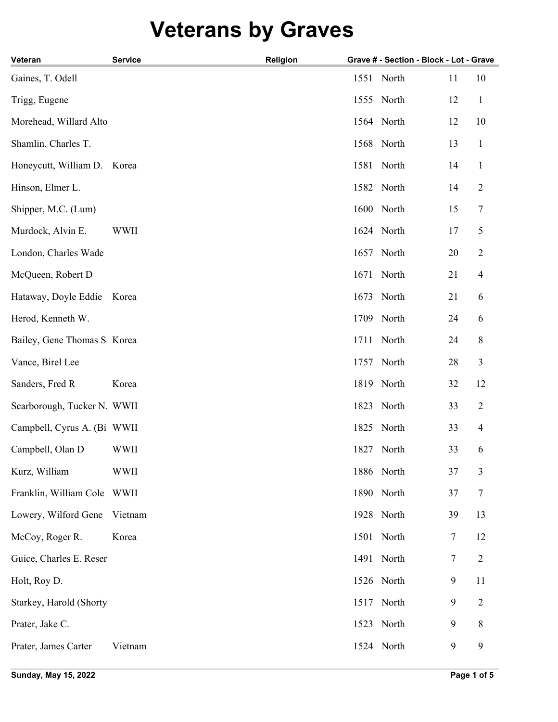## **Veterans by Graves**

| Veteran                      | <b>Service</b> | Religion |      | Grave # - Section - Block - Lot - Grave |    |                          |
|------------------------------|----------------|----------|------|-----------------------------------------|----|--------------------------|
| Gaines, T. Odell             |                |          | 1551 | North                                   | 11 | 10                       |
| Trigg, Eugene                |                |          |      | 1555 North                              | 12 | $\mathbf{1}$             |
| Morehead, Willard Alto       |                |          |      | 1564 North                              | 12 | 10                       |
| Shamlin, Charles T.          |                |          |      | 1568 North                              | 13 | $\mathbf{1}$             |
| Honeycutt, William D. Korea  |                |          | 1581 | North                                   | 14 | $\mathbf{1}$             |
| Hinson, Elmer L.             |                |          |      | 1582 North                              | 14 | $\overline{2}$           |
| Shipper, M.C. (Lum)          |                |          |      | 1600 North                              | 15 | 7                        |
| Murdock, Alvin E.            | <b>WWII</b>    |          |      | 1624 North                              | 17 | 5                        |
| London, Charles Wade         |                |          | 1657 | North                                   | 20 | $\mathbf{2}$             |
| McQueen, Robert D            |                |          | 1671 | North                                   | 21 | $\overline{4}$           |
| Hataway, Doyle Eddie Korea   |                |          | 1673 | North                                   | 21 | 6                        |
| Herod, Kenneth W.            |                |          | 1709 | North                                   | 24 | 6                        |
| Bailey, Gene Thomas S Korea  |                |          | 1711 | North                                   | 24 | $\,8\,$                  |
| Vance, Birel Lee             |                |          | 1757 | North                                   | 28 | 3                        |
| Sanders, Fred R              | Korea          |          | 1819 | North                                   | 32 | 12                       |
| Scarborough, Tucker N. WWII  |                |          | 1823 | North                                   | 33 | $\overline{2}$           |
| Campbell, Cyrus A. (Bi WWII  |                |          |      | 1825 North                              | 33 | $\overline{\mathcal{A}}$ |
| Campbell, Olan D             | <b>WWII</b>    |          |      | 1827 North                              | 33 | 6                        |
| Kurz, William                | <b>WWII</b>    |          |      | 1886 North                              | 37 | 3                        |
| Franklin, William Cole WWII  |                |          |      | 1890 North                              | 37 | 7                        |
| Lowery, Wilford Gene Vietnam |                |          |      | 1928 North                              | 39 | 13                       |
| McCoy, Roger R.              | Korea          |          |      | 1501 North                              | 7  | 12                       |
| Guice, Charles E. Reser      |                |          |      | 1491 North                              | 7  | $\overline{2}$           |
| Holt, Roy D.                 |                |          |      | 1526 North                              | 9  | 11                       |
| Starkey, Harold (Shorty      |                |          | 1517 | North                                   | 9  | 2                        |
| Prater, Jake C.              |                |          |      | 1523 North                              | 9  | 8                        |
| Prater, James Carter         | Vietnam        |          |      | 1524 North                              | 9  | 9                        |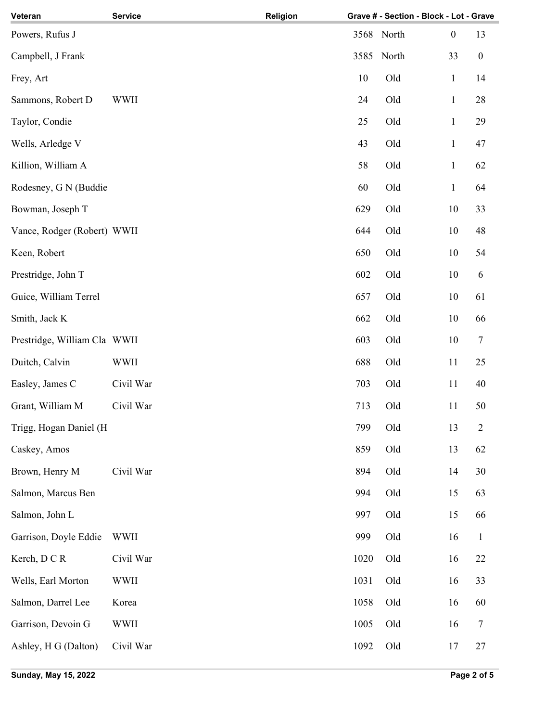| Veteran                      | <b>Service</b> | Religion |            | Grave # - Section - Block - Lot - Grave |                  |                  |
|------------------------------|----------------|----------|------------|-----------------------------------------|------------------|------------------|
| Powers, Rufus J              |                |          | 3568 North |                                         | $\boldsymbol{0}$ | 13               |
| Campbell, J Frank            |                |          | 3585       | North                                   | 33               | $\boldsymbol{0}$ |
| Frey, Art                    |                |          | 10         | Old                                     | $\mathbf{1}$     | 14               |
| Sammons, Robert D            | <b>WWII</b>    |          | 24         | Old                                     | $\mathbf{1}$     | 28               |
| Taylor, Condie               |                |          | 25         | Old                                     | $\,1\,$          | 29               |
| Wells, Arledge V             |                |          | 43         | Old                                     | $\,1\,$          | 47               |
| Killion, William A           |                |          | 58         | Old                                     | $\mathbf{1}$     | 62               |
| Rodesney, G N (Buddie        |                |          | 60         | Old                                     | $\mathbf{1}$     | 64               |
| Bowman, Joseph T             |                |          | 629        | Old                                     | 10               | 33               |
| Vance, Rodger (Robert) WWII  |                |          | 644        | Old                                     | 10               | 48               |
| Keen, Robert                 |                |          | 650        | Old                                     | $10\,$           | 54               |
| Prestridge, John T           |                |          | 602        | Old                                     | 10               | 6                |
| Guice, William Terrel        |                |          | 657        | Old                                     | $10\,$           | 61               |
| Smith, Jack K                |                |          | 662        | Old                                     | $10\,$           | 66               |
| Prestridge, William Cla WWII |                |          | 603        | Old                                     | 10               | $\tau$           |
| Duitch, Calvin               | <b>WWII</b>    |          | 688        | Old                                     | 11               | 25               |
| Easley, James C              | Civil War      |          | 703        | Old                                     | 11               | 40               |
| Grant, William M             | Civil War      |          | 713        | Old                                     | 11               | 50               |
| Trigg, Hogan Daniel (H       |                |          | 799        | Old                                     | 13               | $\sqrt{2}$       |
| Caskey, Amos                 |                |          | 859        | Old                                     | 13               | 62               |
| Brown, Henry M               | Civil War      |          | 894        | Old                                     | 14               | 30               |
| Salmon, Marcus Ben           |                |          | 994        | Old                                     | 15               | 63               |
| Salmon, John L               |                |          | 997        | Old                                     | 15               | 66               |
| Garrison, Doyle Eddie        | <b>WWII</b>    |          | 999        | Old                                     | 16               | $\mathbf{1}$     |
| Kerch, DCR                   | Civil War      |          | 1020       | Old                                     | 16               | 22               |
| Wells, Earl Morton           | <b>WWII</b>    |          | 1031       | Old                                     | 16               | 33               |
| Salmon, Darrel Lee           | Korea          |          | 1058       | Old                                     | 16               | 60               |
| Garrison, Devoin G           | <b>WWII</b>    |          | 1005       | Old                                     | 16               | $\overline{7}$   |
| Ashley, H G (Dalton)         | Civil War      |          | 1092       | Old                                     | 17               | $27\,$           |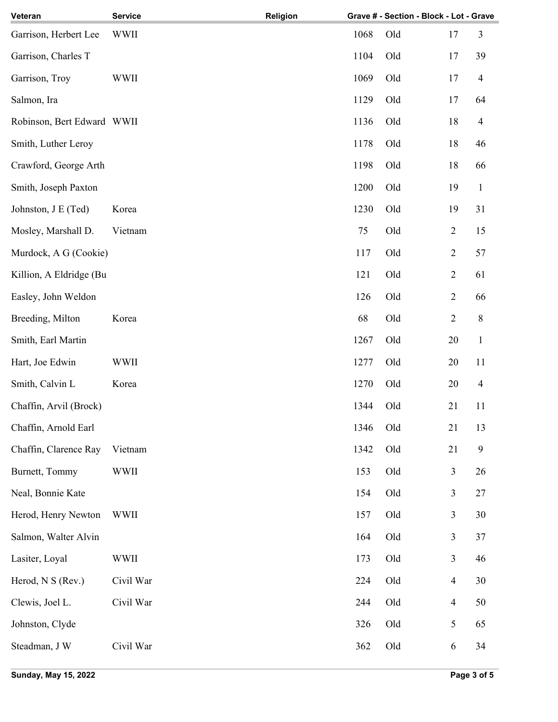| Veteran                    | <b>Service</b> | Religion |      | Grave # - Section - Block - Lot - Grave |                |                |
|----------------------------|----------------|----------|------|-----------------------------------------|----------------|----------------|
| Garrison, Herbert Lee      | <b>WWII</b>    |          | 1068 | Old                                     | 17             | 3              |
| Garrison, Charles T        |                |          | 1104 | Old                                     | 17             | 39             |
| Garrison, Troy             | <b>WWII</b>    |          | 1069 | Old                                     | 17             | $\overline{4}$ |
| Salmon, Ira                |                |          | 1129 | Old                                     | 17             | 64             |
| Robinson, Bert Edward WWII |                |          | 1136 | Old                                     | 18             | $\overline{4}$ |
| Smith, Luther Leroy        |                |          | 1178 | Old                                     | 18             | 46             |
| Crawford, George Arth      |                |          | 1198 | Old                                     | 18             | 66             |
| Smith, Joseph Paxton       |                |          | 1200 | Old                                     | 19             | $\mathbf{1}$   |
| Johnston, J E (Ted)        | Korea          |          | 1230 | Old                                     | 19             | 31             |
| Mosley, Marshall D.        | Vietnam        |          | 75   | Old                                     | $\overline{2}$ | 15             |
| Murdock, A G (Cookie)      |                |          | 117  | Old                                     | $\overline{2}$ | 57             |
| Killion, A Eldridge (Bu    |                |          | 121  | Old                                     | $\overline{2}$ | 61             |
| Easley, John Weldon        |                |          | 126  | Old                                     | $\overline{c}$ | 66             |
| Breeding, Milton           | Korea          |          | 68   | Old                                     | $\overline{2}$ | $\,8\,$        |
| Smith, Earl Martin         |                |          | 1267 | Old                                     | 20             | $\mathbf{1}$   |
| Hart, Joe Edwin            | <b>WWII</b>    |          | 1277 | Old                                     | 20             | 11             |
| Smith, Calvin L            | Korea          |          | 1270 | Old                                     | 20             | $\overline{4}$ |
| Chaffin, Arvil (Brock)     |                |          | 1344 | Old                                     | 21             | 11             |
| Chaffin, Arnold Earl       |                |          | 1346 | Old                                     | 21             | 13             |
| Chaffin, Clarence Ray      | Vietnam        |          | 1342 | Old                                     | 21             | 9              |
| Burnett, Tommy             | <b>WWII</b>    |          | 153  | Old                                     | 3              | 26             |
| Neal, Bonnie Kate          |                |          | 154  | Old                                     | 3              | 27             |
| Herod, Henry Newton        | <b>WWII</b>    |          | 157  | Old                                     | 3              | 30             |
| Salmon, Walter Alvin       |                |          | 164  | Old                                     | 3              | 37             |
| Lasiter, Loyal             | WWII           |          | 173  | Old                                     | 3              | 46             |
| Herod, N S (Rev.)          | Civil War      |          | 224  | Old                                     | $\overline{4}$ | 30             |
| Clewis, Joel L.            | Civil War      |          | 244  | Old                                     | $\overline{4}$ | 50             |
| Johnston, Clyde            |                |          | 326  | Old                                     | 5              | 65             |
| Steadman, J W              | Civil War      |          | 362  | Old                                     | 6              | 34             |
|                            |                |          |      |                                         |                |                |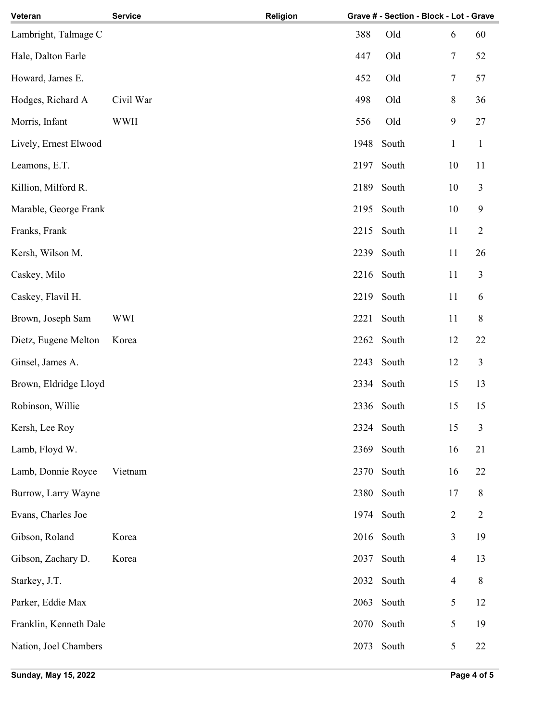| Veteran                | <b>Service</b> | Religion |      | Grave # - Section - Block - Lot - Grave |                |                |
|------------------------|----------------|----------|------|-----------------------------------------|----------------|----------------|
| Lambright, Talmage C   |                |          | 388  | Old                                     | 6              | 60             |
| Hale, Dalton Earle     |                |          | 447  | Old                                     | 7              | 52             |
| Howard, James E.       |                |          | 452  | Old                                     | 7              | 57             |
| Hodges, Richard A      | Civil War      |          | 498  | Old                                     | 8              | 36             |
| Morris, Infant         | <b>WWII</b>    |          | 556  | Old                                     | $\mathbf{9}$   | 27             |
| Lively, Ernest Elwood  |                |          | 1948 | South                                   | $\mathbf{1}$   | $\mathbf{1}$   |
| Leamons, E.T.          |                |          | 2197 | South                                   | 10             | 11             |
| Killion, Milford R.    |                |          | 2189 | South                                   | 10             | 3              |
| Marable, George Frank  |                |          | 2195 | South                                   | 10             | 9              |
| Franks, Frank          |                |          | 2215 | South                                   | 11             | $\overline{2}$ |
| Kersh, Wilson M.       |                |          | 2239 | South                                   | 11             | 26             |
| Caskey, Milo           |                |          |      | 2216 South                              | 11             | 3              |
| Caskey, Flavil H.      |                |          | 2219 | South                                   | 11             | 6              |
| Brown, Joseph Sam      | <b>WWI</b>     |          | 2221 | South                                   | 11             | 8              |
| Dietz, Eugene Melton   | Korea          |          | 2262 | South                                   | 12             | 22             |
| Ginsel, James A.       |                |          | 2243 | South                                   | 12             | 3              |
| Brown, Eldridge Lloyd  |                |          |      | 2334 South                              | 15             | 13             |
| Robinson, Willie       |                |          |      | 2336 South                              | 15             | 15             |
| Kersh, Lee Roy         |                |          |      | 2324 South                              | 15             | 3              |
| Lamb, Floyd W.         |                |          | 2369 | South                                   | 16             | 21             |
| Lamb, Donnie Royce     | Vietnam        |          | 2370 | South                                   | 16             | 22             |
| Burrow, Larry Wayne    |                |          | 2380 | South                                   | 17             | 8              |
| Evans, Charles Joe     |                |          |      | 1974 South                              | $\overline{c}$ | $\overline{2}$ |
| Gibson, Roland         | Korea          |          |      | 2016 South                              | 3              | 19             |
| Gibson, Zachary D.     | Korea          |          | 2037 | South                                   | $\overline{4}$ | 13             |
| Starkey, J.T.          |                |          | 2032 | South                                   | $\overline{4}$ | $\,8\,$        |
| Parker, Eddie Max      |                |          | 2063 | South                                   | 5              | 12             |
| Franklin, Kenneth Dale |                |          |      | 2070 South                              | 5              | 19             |
| Nation, Joel Chambers  |                |          |      | 2073 South                              | 5              | $22\,$         |
|                        |                |          |      |                                         |                |                |